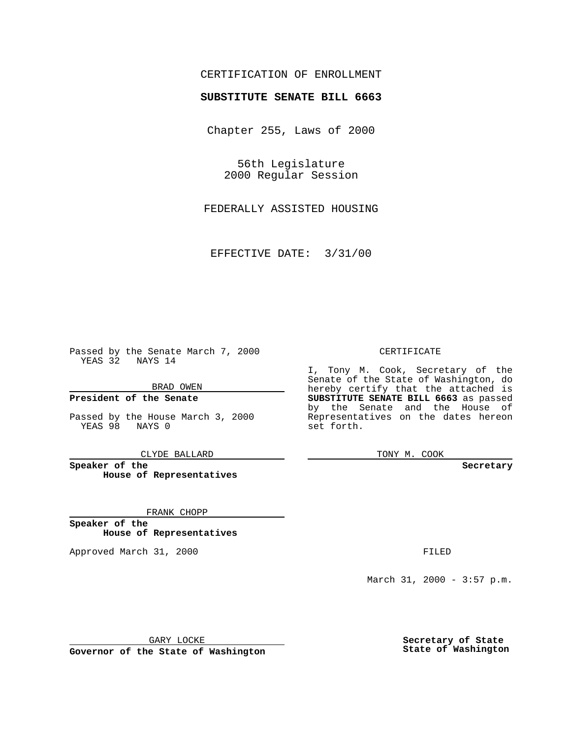## CERTIFICATION OF ENROLLMENT

# **SUBSTITUTE SENATE BILL 6663**

Chapter 255, Laws of 2000

56th Legislature 2000 Regular Session

FEDERALLY ASSISTED HOUSING

EFFECTIVE DATE: 3/31/00

Passed by the Senate March 7, 2000 YEAS 32 NAYS 14

BRAD OWEN

**President of the Senate**

Passed by the House March 3, 2000 YEAS 98 NAYS 0

CLYDE BALLARD

**Speaker of the House of Representatives**

FRANK CHOPP

**Speaker of the House of Representatives**

Approved March 31, 2000 FILED

#### CERTIFICATE

I, Tony M. Cook, Secretary of the Senate of the State of Washington, do hereby certify that the attached is **SUBSTITUTE SENATE BILL 6663** as passed by the Senate and the House of Representatives on the dates hereon set forth.

TONY M. COOK

**Secretary**

March 31, 2000 - 3:57 p.m.

GARY LOCKE

**Governor of the State of Washington**

**Secretary of State State of Washington**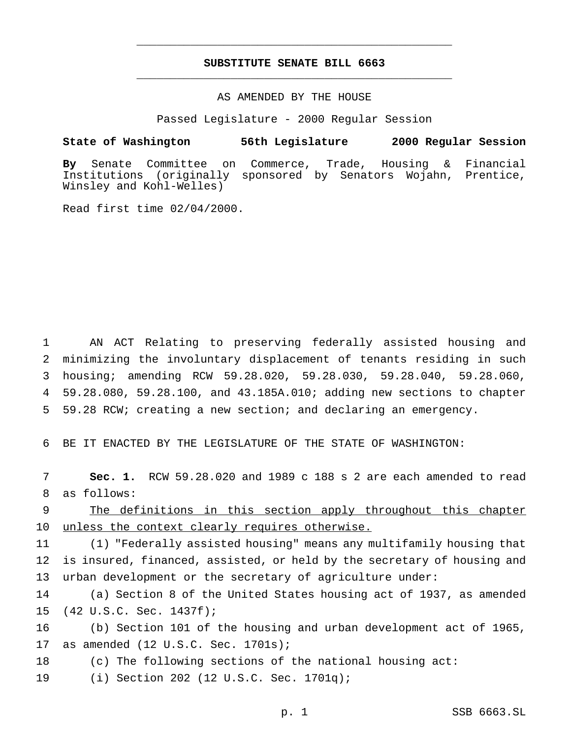## **SUBSTITUTE SENATE BILL 6663** \_\_\_\_\_\_\_\_\_\_\_\_\_\_\_\_\_\_\_\_\_\_\_\_\_\_\_\_\_\_\_\_\_\_\_\_\_\_\_\_\_\_\_\_\_\_\_

\_\_\_\_\_\_\_\_\_\_\_\_\_\_\_\_\_\_\_\_\_\_\_\_\_\_\_\_\_\_\_\_\_\_\_\_\_\_\_\_\_\_\_\_\_\_\_

### AS AMENDED BY THE HOUSE

Passed Legislature - 2000 Regular Session

#### **State of Washington 56th Legislature 2000 Regular Session**

**By** Senate Committee on Commerce, Trade, Housing & Financial Institutions (originally sponsored by Senators Wojahn, Prentice, Winsley and Kohl-Welles)

Read first time 02/04/2000.

 AN ACT Relating to preserving federally assisted housing and minimizing the involuntary displacement of tenants residing in such housing; amending RCW 59.28.020, 59.28.030, 59.28.040, 59.28.060, 59.28.080, 59.28.100, and 43.185A.010; adding new sections to chapter 59.28 RCW; creating a new section; and declaring an emergency.

6 BE IT ENACTED BY THE LEGISLATURE OF THE STATE OF WASHINGTON:

7 **Sec. 1.** RCW 59.28.020 and 1989 c 188 s 2 are each amended to read 8 as follows:

9 The definitions in this section apply throughout this chapter 10 unless the context clearly requires otherwise.

11 (1) "Federally assisted housing" means any multifamily housing that 12 is insured, financed, assisted, or held by the secretary of housing and 13 urban development or the secretary of agriculture under:

14 (a) Section 8 of the United States housing act of 1937, as amended 15 (42 U.S.C. Sec. 1437f);

16 (b) Section 101 of the housing and urban development act of 1965, 17 as amended (12 U.S.C. Sec. 1701s);

18 (c) The following sections of the national housing act:

19 (i) Section 202 (12 U.S.C. Sec. 1701q);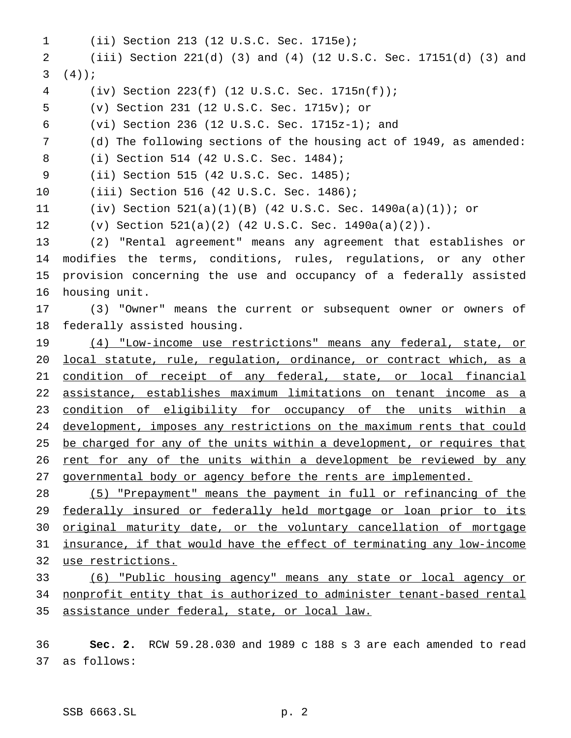(ii) Section 213 (12 U.S.C. Sec. 1715e); (iii) Section 221(d) (3) and (4) (12 U.S.C. Sec. 17151(d) (3) and  $3 \left( 4 \right)$ ; (iv) Section 223(f) (12 U.S.C. Sec. 1715n(f)); (v) Section 231 (12 U.S.C. Sec. 1715v); or (vi) Section 236 (12 U.S.C. Sec. 1715z-1); and (d) The following sections of the housing act of 1949, as amended: (i) Section 514 (42 U.S.C. Sec. 1484); (ii) Section 515 (42 U.S.C. Sec. 1485); (iii) Section 516 (42 U.S.C. Sec. 1486); (iv) Section 521(a)(1)(B) (42 U.S.C. Sec. 1490a(a)(1)); or (v) Section 521(a)(2) (42 U.S.C. Sec. 1490a(a)(2)). (2) "Rental agreement" means any agreement that establishes or modifies the terms, conditions, rules, regulations, or any other provision concerning the use and occupancy of a federally assisted housing unit. (3) "Owner" means the current or subsequent owner or owners of federally assisted housing. (4) "Low-income use restrictions" means any federal, state, or local statute, rule, regulation, ordinance, or contract which, as a condition of receipt of any federal, state, or local financial assistance, establishes maximum limitations on tenant income as a condition of eligibility for occupancy of the units within a development, imposes any restrictions on the maximum rents that could 25 be charged for any of the units within a development, or requires that 26 rent for any of the units within a development be reviewed by any governmental body or agency before the rents are implemented. (5) "Prepayment" means the payment in full or refinancing of the 29 federally insured or federally held mortgage or loan prior to its original maturity date, or the voluntary cancellation of mortgage insurance, if that would have the effect of terminating any low-income use restrictions. (6) "Public housing agency" means any state or local agency or nonprofit entity that is authorized to administer tenant-based rental assistance under federal, state, or local law.

 **Sec. 2.** RCW 59.28.030 and 1989 c 188 s 3 are each amended to read as follows: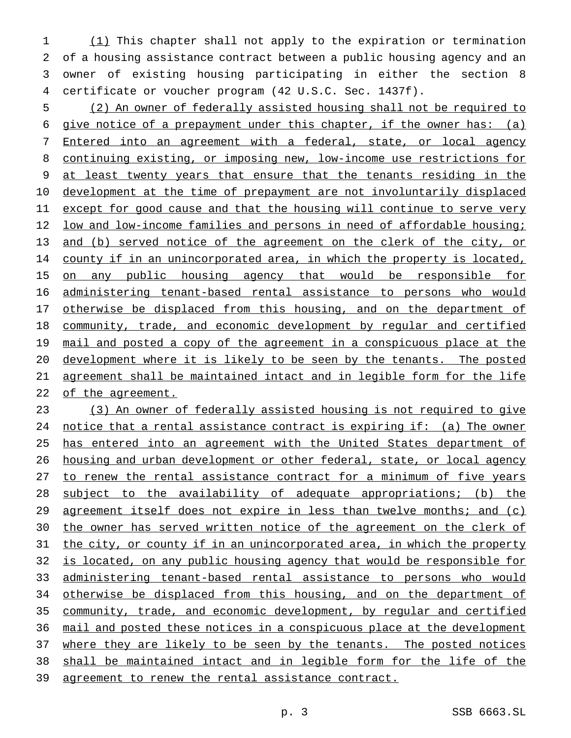(1) This chapter shall not apply to the expiration or termination of a housing assistance contract between a public housing agency and an owner of existing housing participating in either the section 8 certificate or voucher program (42 U.S.C. Sec. 1437f).

 (2) An owner of federally assisted housing shall not be required to give notice of a prepayment under this chapter, if the owner has: (a) Entered into an agreement with a federal, state, or local agency continuing existing, or imposing new, low-income use restrictions for at least twenty years that ensure that the tenants residing in the development at the time of prepayment are not involuntarily displaced except for good cause and that the housing will continue to serve very 12 low and low-income families and persons in need of affordable housing; and (b) served notice of the agreement on the clerk of the city, or 14 county if in an unincorporated area, in which the property is located, 15 on any public housing agency that would be responsible for administering tenant-based rental assistance to persons who would 17 otherwise be displaced from this housing, and on the department of community, trade, and economic development by regular and certified mail and posted a copy of the agreement in a conspicuous place at the development where it is likely to be seen by the tenants. The posted agreement shall be maintained intact and in legible form for the life 22 of the agreement.

 (3) An owner of federally assisted housing is not required to give notice that a rental assistance contract is expiring if: (a) The owner has entered into an agreement with the United States department of 26 housing and urban development or other federal, state, or local agency to renew the rental assistance contract for a minimum of five years subject to the availability of adequate appropriations; (b) the 29 agreement itself does not expire in less than twelve months; and (c) 30 the owner has served written notice of the agreement on the clerk of the city, or county if in an unincorporated area, in which the property is located, on any public housing agency that would be responsible for administering tenant-based rental assistance to persons who would 34 otherwise be displaced from this housing, and on the department of community, trade, and economic development, by regular and certified mail and posted these notices in a conspicuous place at the development 37 where they are likely to be seen by the tenants. The posted notices shall be maintained intact and in legible form for the life of the agreement to renew the rental assistance contract.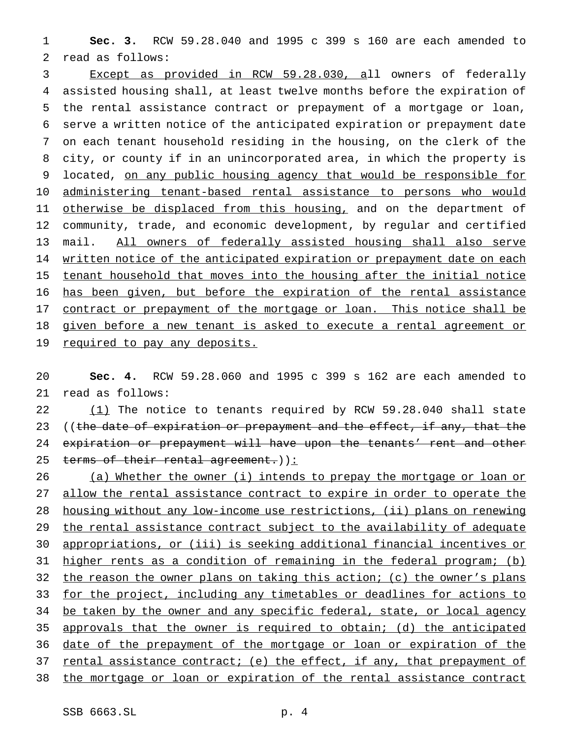**Sec. 3.** RCW 59.28.040 and 1995 c 399 s 160 are each amended to read as follows:

 Except as provided in RCW 59.28.030, all owners of federally assisted housing shall, at least twelve months before the expiration of the rental assistance contract or prepayment of a mortgage or loan, serve a written notice of the anticipated expiration or prepayment date on each tenant household residing in the housing, on the clerk of the city, or county if in an unincorporated area, in which the property is 9 located, on any public housing agency that would be responsible for administering tenant-based rental assistance to persons who would 11 otherwise be displaced from this housing, and on the department of community, trade, and economic development, by regular and certified mail. All owners of federally assisted housing shall also serve 14 written notice of the anticipated expiration or prepayment date on each tenant household that moves into the housing after the initial notice has been given, but before the expiration of the rental assistance 17 contract or prepayment of the mortgage or loan. This notice shall be given before a new tenant is asked to execute a rental agreement or 19 required to pay any deposits.

 **Sec. 4.** RCW 59.28.060 and 1995 c 399 s 162 are each amended to read as follows:

22 (1) The notice to tenants required by RCW 59.28.040 shall state 23 ((the date of expiration or prepayment and the effect, if any, that the 24 expiration or prepayment will have upon the tenants' rent and other 25 terms of their rental agreement.)):

26 (a) Whether the owner (i) intends to prepay the mortgage or loan or allow the rental assistance contract to expire in order to operate the housing without any low-income use restrictions, (ii) plans on renewing 29 the rental assistance contract subject to the availability of adequate appropriations, or (iii) is seeking additional financial incentives or higher rents as a condition of remaining in the federal program; (b) 32 the reason the owner plans on taking this action; (c) the owner's plans for the project, including any timetables or deadlines for actions to 34 be taken by the owner and any specific federal, state, or local agency approvals that the owner is required to obtain; (d) the anticipated date of the prepayment of the mortgage or loan or expiration of the rental assistance contract; (e) the effect, if any, that prepayment of the mortgage or loan or expiration of the rental assistance contract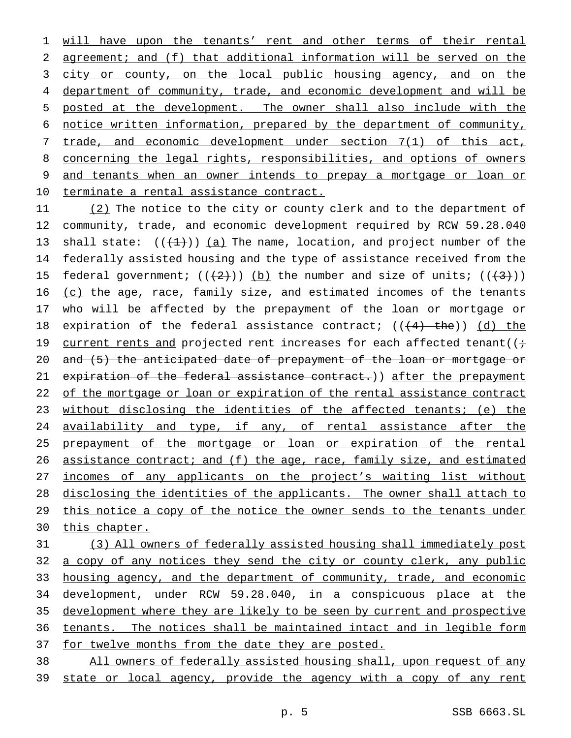will have upon the tenants' rent and other terms of their rental agreement; and (f) that additional information will be served on the 3 city or county, on the local public housing agency, and on the 4 department of community, trade, and economic development and will be posted at the development. The owner shall also include with the notice written information, prepared by the department of community, trade, and economic development under section 7(1) of this act, concerning the legal rights, responsibilities, and options of owners and tenants when an owner intends to prepay a mortgage or loan or terminate a rental assistance contract.

11 (2) The notice to the city or county clerk and to the department of 12 community, trade, and economic development required by RCW 59.28.040 13 shall state:  $((+1))$  (a) The name, location, and project number of the 14 federally assisted housing and the type of assistance received from the 15 federal government;  $((+2))$  (b) the number and size of units;  $((+3))$ 16  $(c)$  the age, race, family size, and estimated incomes of the tenants 17 who will be affected by the prepayment of the loan or mortgage or 18 expiration of the federal assistance contract;  $((+4)$  the))  $(d)$  the 19 current rents and projected rent increases for each affected tenant( $(i+$ 20 and (5) the anticipated date of prepayment of the loan or mortgage or 21 expiration of the federal assistance contract.)) after the prepayment 22 of the mortgage or loan or expiration of the rental assistance contract 23 without disclosing the identities of the affected tenants; (e) the 24 availability and type, if any, of rental assistance after the 25 prepayment of the mortgage or loan or expiration of the rental 26 assistance contract; and (f) the age, race, family size, and estimated 27 incomes of any applicants on the project's waiting list without 28 disclosing the identities of the applicants. The owner shall attach to 29 this notice a copy of the notice the owner sends to the tenants under 30 this chapter.

 (3) All owners of federally assisted housing shall immediately post 32 a copy of any notices they send the city or county clerk, any public housing agency, and the department of community, trade, and economic development, under RCW 59.28.040, in a conspicuous place at the development where they are likely to be seen by current and prospective tenants. The notices shall be maintained intact and in legible form 37 for twelve months from the date they are posted. All owners of federally assisted housing shall, upon request of any

39 state or local agency, provide the agency with a copy of any rent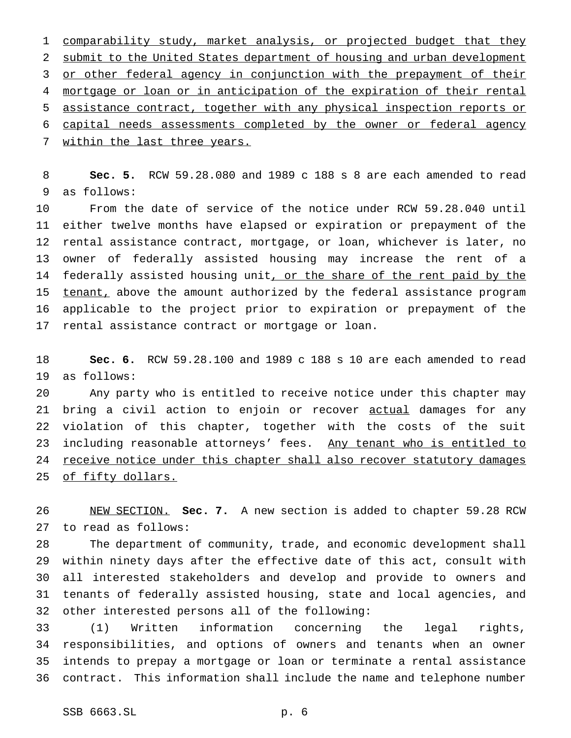comparability study, market analysis, or projected budget that they submit to the United States department of housing and urban development 3 or other federal agency in conjunction with the prepayment of their mortgage or loan or in anticipation of the expiration of their rental assistance contract, together with any physical inspection reports or capital needs assessments completed by the owner or federal agency 7 within the last three years.

 **Sec. 5.** RCW 59.28.080 and 1989 c 188 s 8 are each amended to read as follows:

 From the date of service of the notice under RCW 59.28.040 until either twelve months have elapsed or expiration or prepayment of the rental assistance contract, mortgage, or loan, whichever is later, no owner of federally assisted housing may increase the rent of a 14 federally assisted housing unit, or the share of the rent paid by the 15 tenant, above the amount authorized by the federal assistance program applicable to the project prior to expiration or prepayment of the rental assistance contract or mortgage or loan.

 **Sec. 6.** RCW 59.28.100 and 1989 c 188 s 10 are each amended to read as follows:

 Any party who is entitled to receive notice under this chapter may 21 bring a civil action to enjoin or recover actual damages for any violation of this chapter, together with the costs of the suit 23 including reasonable attorneys' fees. Any tenant who is entitled to 24 receive notice under this chapter shall also recover statutory damages of fifty dollars.

 NEW SECTION. **Sec. 7.** A new section is added to chapter 59.28 RCW to read as follows:

 The department of community, trade, and economic development shall within ninety days after the effective date of this act, consult with all interested stakeholders and develop and provide to owners and tenants of federally assisted housing, state and local agencies, and other interested persons all of the following:

 (1) Written information concerning the legal rights, responsibilities, and options of owners and tenants when an owner intends to prepay a mortgage or loan or terminate a rental assistance contract. This information shall include the name and telephone number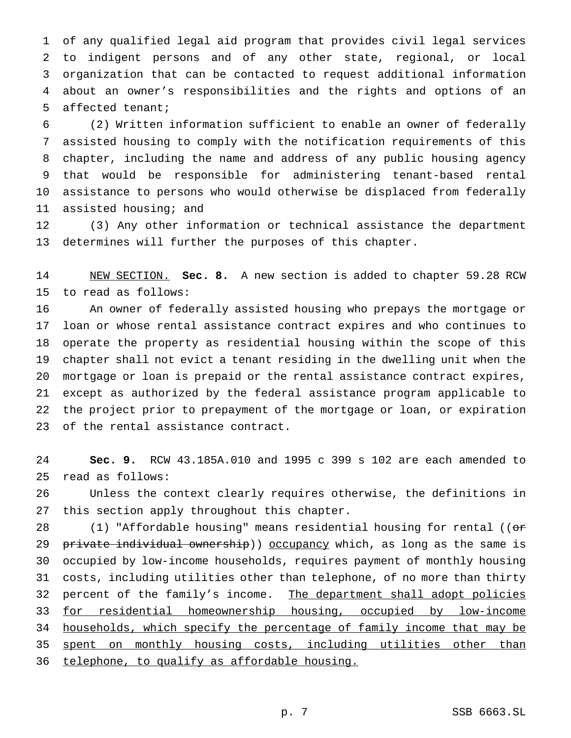of any qualified legal aid program that provides civil legal services to indigent persons and of any other state, regional, or local organization that can be contacted to request additional information about an owner's responsibilities and the rights and options of an affected tenant;

 (2) Written information sufficient to enable an owner of federally assisted housing to comply with the notification requirements of this chapter, including the name and address of any public housing agency that would be responsible for administering tenant-based rental assistance to persons who would otherwise be displaced from federally assisted housing; and

 (3) Any other information or technical assistance the department determines will further the purposes of this chapter.

 NEW SECTION. **Sec. 8.** A new section is added to chapter 59.28 RCW to read as follows:

 An owner of federally assisted housing who prepays the mortgage or loan or whose rental assistance contract expires and who continues to operate the property as residential housing within the scope of this chapter shall not evict a tenant residing in the dwelling unit when the mortgage or loan is prepaid or the rental assistance contract expires, except as authorized by the federal assistance program applicable to the project prior to prepayment of the mortgage or loan, or expiration of the rental assistance contract.

 **Sec. 9.** RCW 43.185A.010 and 1995 c 399 s 102 are each amended to read as follows:

 Unless the context clearly requires otherwise, the definitions in this section apply throughout this chapter.

28 (1) "Affordable housing" means residential housing for rental ((or 29 private individual ownership)) occupancy which, as long as the same is occupied by low-income households, requires payment of monthly housing costs, including utilities other than telephone, of no more than thirty 32 percent of the family's income. The department shall adopt policies for residential homeownership housing, occupied by low-income households, which specify the percentage of family income that may be 35 spent on monthly housing costs, including utilities other than telephone, to qualify as affordable housing.